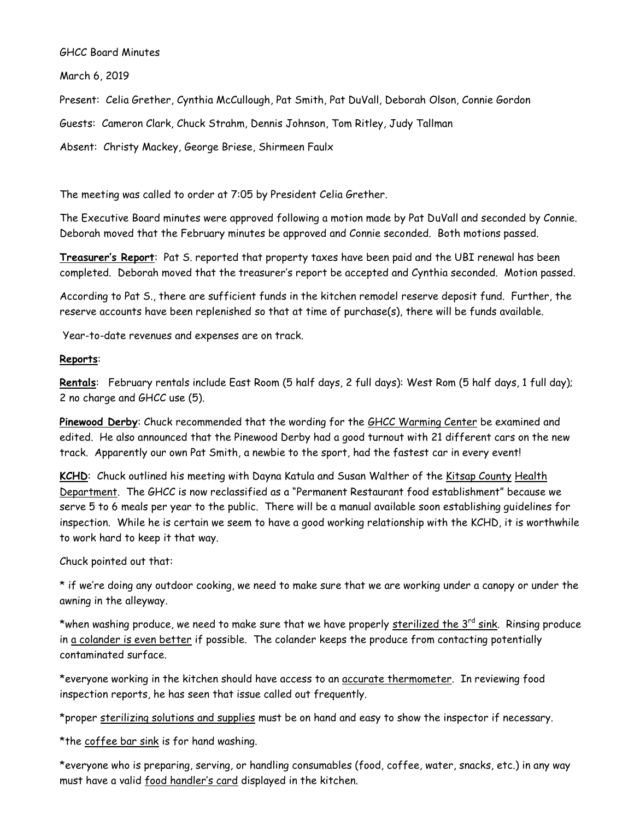## GHCC Board Minutes

March 6, 2019

Present: Celia Grether, Cynthia McCullough, Pat Smith, Pat DuVall, Deborah Olson, Connie Gordon

Guests: Cameron Clark, Chuck Strahm, Dennis Johnson, Tom Ritley, Judy Tallman

Absent: Christy Mackey, George Briese, Shirmeen Faulx

The meeting was called to order at 7:05 by President Celia Grether.

The Executive Board minutes were approved following a motion made by Pat DuVall and seconded by Connie. Deborah moved that the February minutes be approved and Connie seconded. Both motions passed.

**Treasurer's Report**: Pat S. reported that property taxes have been paid and the UBI renewal has been completed. Deborah moved that the treasurer's report be accepted and Cynthia seconded. Motion passed.

According to Pat S., there are sufficient funds in the kitchen remodel reserve deposit fund. Further, the reserve accounts have been replenished so that at time of purchase(s), there will be funds available.

Year-to-date revenues and expenses are on track.

## **Reports**:

**Rentals**: February rentals include East Room (5 half days, 2 full days): West Rom (5 half days, 1 full day); 2 no charge and GHCC use (5).

**Pinewood Derby**: Chuck recommended that the wording for the GHCC Warming Center be examined and edited. He also announced that the Pinewood Derby had a good turnout with 21 different cars on the new track. Apparently our own Pat Smith, a newbie to the sport, had the fastest car in every event!

**KCHD**: Chuck outlined his meeting with Dayna Katula and Susan Walther of the Kitsap County Health Department. The GHCC is now reclassified as a "Permanent Restaurant food establishment" because we serve 5 to 6 meals per year to the public. There will be a manual available soon establishing guidelines for inspection. While he is certain we seem to have a good working relationship with the KCHD, it is worthwhile to work hard to keep it that way.

Chuck pointed out that:

\* if we're doing any outdoor cooking, we need to make sure that we are working under a canopy or under the awning in the alleyway.

\*when washing produce, we need to make sure that we have properly sterilized the 3rd sink. Rinsing produce in a colander is even better if possible. The colander keeps the produce from contacting potentially contaminated surface.

\*everyone working in the kitchen should have access to an *accurate thermometer*. In reviewing food inspection reports, he has seen that issue called out frequently.

\*proper sterilizing solutions and supplies must be on hand and easy to show the inspector if necessary.

\*the coffee bar sink is for hand washing.

\*everyone who is preparing, serving, or handling consumables (food, coffee, water, snacks, etc.) in any way must have a valid food handler's card displayed in the kitchen.